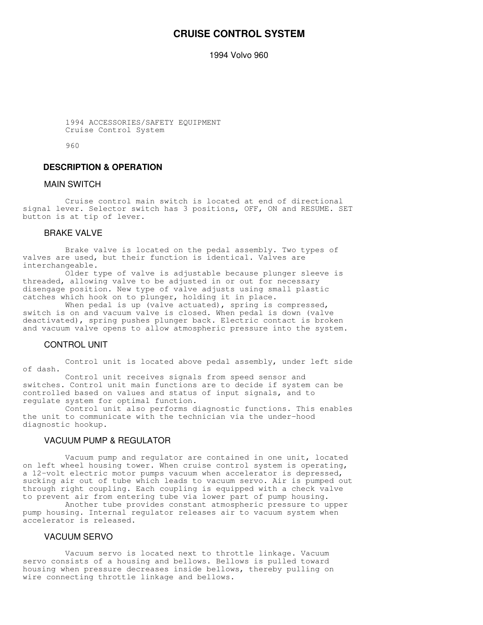# **CRUISE CONTROL SYSTEM**

1994 Volvo 960

 1994 ACCESSORIES/SAFETY EQUIPMENT Cruise Control System

960

# **DESCRIPTION & OPERATION**

# MAIN SWITCH

 Cruise control main switch is located at end of directional signal lever. Selector switch has 3 positions, OFF, ON and RESUME. SET button is at tip of lever.

### BRAKE VALVE

 Brake valve is located on the pedal assembly. Two types of valves are used, but their function is identical. Valves are interchangeable.

 Older type of valve is adjustable because plunger sleeve is threaded, allowing valve to be adjusted in or out for necessary disengage position. New type of valve adjusts using small plastic catches which hook on to plunger, holding it in place.

When pedal is up (valve actuated), spring is compressed, switch is on and vacuum valve is closed. When pedal is down (valve deactivated), spring pushes plunger back. Electric contact is broken and vacuum valve opens to allow atmospheric pressure into the system.

### CONTROL UNIT

 Control unit is located above pedal assembly, under left side of dash.

 Control unit receives signals from speed sensor and switches. Control unit main functions are to decide if system can be controlled based on values and status of input signals, and to regulate system for optimal function.

 Control unit also performs diagnostic functions. This enables the unit to communicate with the technician via the under-hood diagnostic hookup.

# VACUUM PUMP & REGULATOR

 Vacuum pump and regulator are contained in one unit, located on left wheel housing tower. When cruise control system is operating, a 12-volt electric motor pumps vacuum when accelerator is depressed, sucking air out of tube which leads to vacuum servo. Air is pumped out through right coupling. Each coupling is equipped with a check valve to prevent air from entering tube via lower part of pump housing.

 Another tube provides constant atmospheric pressure to upper pump housing. Internal regulator releases air to vacuum system when accelerator is released.

# VACUUM SERVO

 Vacuum servo is located next to throttle linkage. Vacuum servo consists of a housing and bellows. Bellows is pulled toward housing when pressure decreases inside bellows, thereby pulling on wire connecting throttle linkage and bellows.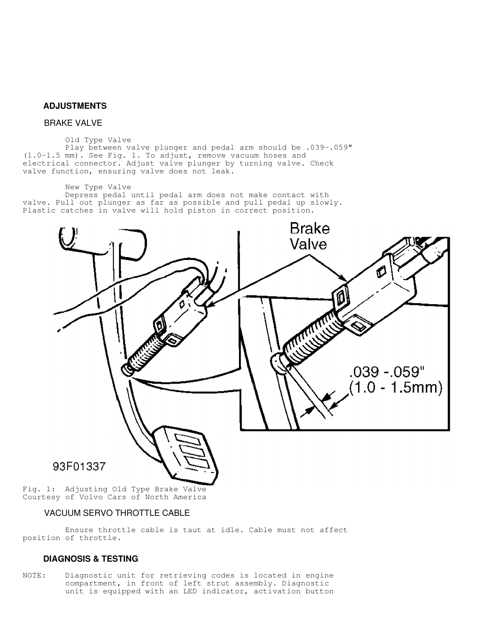### **ADJUSTMENTS**

# BRAKE VALVE

### Old Type Valve

 Play between valve plunger and pedal arm should be .039-.059" (1.0-1.5 mm). See Fig. 1. To adjust, remove vacuum hoses and electrical connector. Adjust valve plunger by turning valve. Check valve function, ensuring valve does not leak.

#### New Type Valve

 Depress pedal until pedal arm does not make contact with valve. Pull out plunger as far as possible and pull pedal up slowly. Plastic catches in valve will hold piston in correct position.



Fig. 1: Adjusting Old Type Brake Valve Courtesy of Volvo Cars of North America

# VACUUM SERVO THROTTLE CABLE

 Ensure throttle cable is taut at idle. Cable must not affect position of throttle.

# **DIAGNOSIS & TESTING**

NOTE: Diagnostic unit for retrieving codes is located in engine compartment, in front of left strut assembly. Diagnostic unit is equipped with an LED indicator, activation button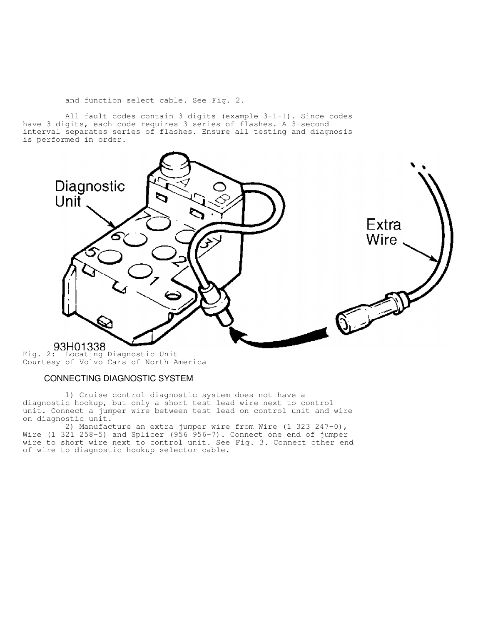and function select cable. See Fig. 2.

 All fault codes contain 3 digits (example 3-1-1). Since codes have 3 digits, each code requires 3 series of flashes. A 3-second interval separates series of flashes. Ensure all testing and diagnosis is performed in order.



Fig. 2: Locating Diagnostic Unit Courtesy of Volvo Cars of North America

# CONNECTING DIAGNOSTIC SYSTEM

 1) Cruise control diagnostic system does not have a diagnostic hookup, but only a short test lead wire next to control unit. Connect a jumper wire between test lead on control unit and wire on diagnostic unit.

 2) Manufacture an extra jumper wire from Wire (1 323 247-0), Wire (1 321 258-5) and Splicer (956 956-7). Connect one end of jumper wire to short wire next to control unit. See Fig. 3. Connect other end of wire to diagnostic hookup selector cable.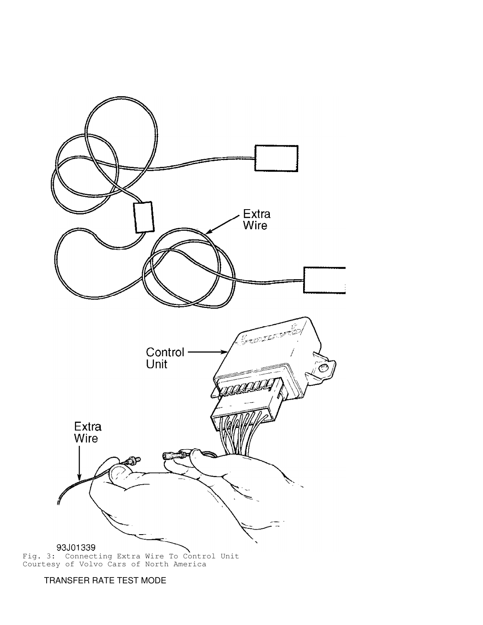

Fig. 3: Connecting Extra Wire To Control Unit Courtesy of Volvo Cars of North America

TRANSFER RATE TEST MODE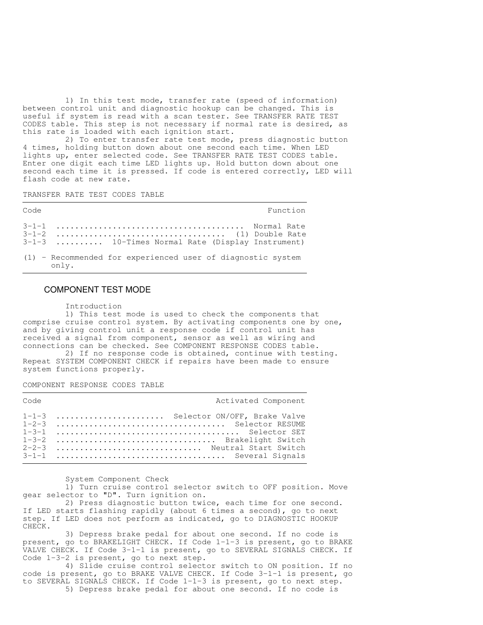1) In this test mode, transfer rate (speed of information) between control unit and diagnostic hookup can be changed. This is useful if system is read with a scan tester. See TRANSFER RATE TEST CODES table. This step is not necessary if normal rate is desired, as this rate is loaded with each ignition start.

 2) To enter transfer rate test mode, press diagnostic button 4 times, holding button down about one second each time. When LED lights up, enter selected code. See TRANSFER RATE TEST CODES table. Enter one digit each time LED lights up. Hold button down about one second each time it is pressed. If code is entered correctly, LED will flash code at new rate.

TRANSFER RATE TEST CODES TABLE

| Code |                                                                        | Function |
|------|------------------------------------------------------------------------|----------|
|      | 3-1-3  10-Times Normal Rate (Display Instrument)                       |          |
|      | $(1)$ - Recommended for experienced user of diagnostic system<br>onlv. |          |

### COMPONENT TEST MODE

Introduction

 1) This test mode is used to check the components that comprise cruise control system. By activating components one by one, and by giving control unit a response code if control unit has received a signal from component, sensor as well as wiring and connections can be checked. See COMPONENT RESPONSE CODES table. 2) If no response code is obtained, continue with testing.

Repeat SYSTEM COMPONENT CHECK if repairs have been made to ensure system functions properly.

COMPONENT RESPONSE CODES TABLE

| Code |                                                                                                | Activated Component |
|------|------------------------------------------------------------------------------------------------|---------------------|
|      | 1-1-3  Selector ON/OFF, Brake Valve<br>1-3-2  Brakelight Switch<br>2-2-3  Neutral Start Switch |                     |
|      |                                                                                                |                     |

System Component Check

 1) Turn cruise control selector switch to OFF position. Move gear selector to "D". Turn ignition on.

 2) Press diagnostic button twice, each time for one second. If LED starts flashing rapidly (about 6 times a second), go to next step. If LED does not perform as indicated, go to DIAGNOSTIC HOOKUP CHECK.

 3) Depress brake pedal for about one second. If no code is present, go to BRAKELIGHT CHECK. If Code 1-1-3 is present, go to BRAKE VALVE CHECK. If Code 3-1-1 is present, go to SEVERAL SIGNALS CHECK. If Code 1-3-2 is present, go to next step.

 4) Slide cruise control selector switch to ON position. If no code is present, go to BRAKE VALVE CHECK. If Code  $3-1-1$  is present, go to SEVERAL SIGNALS CHECK. If Code 1-1-3 is present, go to next step. 5) Depress brake pedal for about one second. If no code is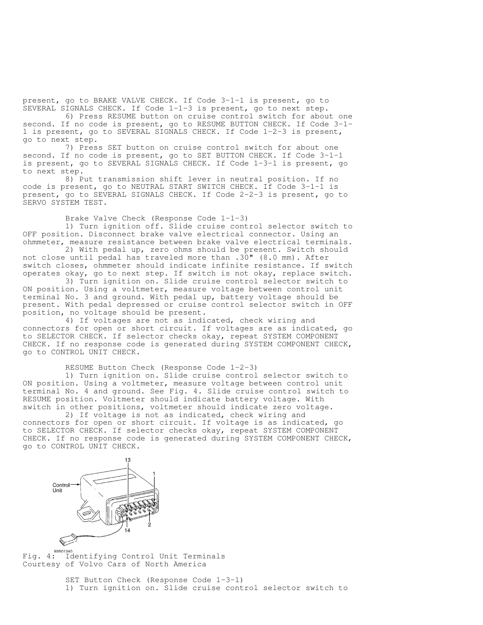present, go to BRAKE VALVE CHECK. If Code 3-1-1 is present, go to SEVERAL SIGNALS CHECK. If Code 1-1-3 is present, go to next step.

 6) Press RESUME button on cruise control switch for about one second. If no code is present, go to RESUME BUTTON CHECK. If Code 3-1- 1 is present, go to SEVERAL SIGNALS CHECK. If Code 1-2-3 is present, go to next step.

 7) Press SET button on cruise control switch for about one second. If no code is present, go to SET BUTTON CHECK. If Code 3-1-1 is present, go to SEVERAL SIGNALS CHECK. If Code 1-3-1 is present, go to next step.

 8) Put transmission shift lever in neutral position. If no code is present, go to NEUTRAL START SWITCH CHECK. If Code 3-1-1 is present, go to SEVERAL SIGNALS CHECK. If Code 2-2-3 is present, go to SERVO SYSTEM TEST.

Brake Valve Check (Response Code 1-1-3)

 1) Turn ignition off. Slide cruise control selector switch to OFF position. Disconnect brake valve electrical connector. Using an ohmmeter, measure resistance between brake valve electrical terminals.

 2) With pedal up, zero ohms should be present. Switch should not close until pedal has traveled more than .30" (8.0 mm). After switch closes, ohmmeter should indicate infinite resistance. If switch operates okay, go to next step. If switch is not okay, replace switch.

 3) Turn ignition on. Slide cruise control selector switch to ON position. Using a voltmeter, measure voltage between control unit terminal No. 3 and ground. With pedal up, battery voltage should be present. With pedal depressed or cruise control selector switch in OFF position, no voltage should be present.

 4) If voltages are not as indicated, check wiring and connectors for open or short circuit. If voltages are as indicated, go to SELECTOR CHECK. If selector checks okay, repeat SYSTEM COMPONENT CHECK. If no response code is generated during SYSTEM COMPONENT CHECK, go to CONTROL UNIT CHECK.

RESUME Button Check (Response Code 1-2-3)

 1) Turn ignition on. Slide cruise control selector switch to ON position. Using a voltmeter, measure voltage between control unit terminal No. 4 and ground. See Fig. 4. Slide cruise control switch to RESUME position. Voltmeter should indicate battery voltage. With switch in other positions, voltmeter should indicate zero voltage.

 2) If voltage is not as indicated, check wiring and connectors for open or short circuit. If voltage is as indicated, go to SELECTOR CHECK. If selector checks okay, repeat SYSTEM COMPONENT CHECK. If no response code is generated during SYSTEM COMPONENT CHECK, go to CONTROL UNIT CHECK.



 $Fig. 4:$  Identifying Control Unit Terminals Courtesy of Volvo Cars of North America

> SET Button Check (Response Code 1-3-1) 1) Turn ignition on. Slide cruise control selector switch to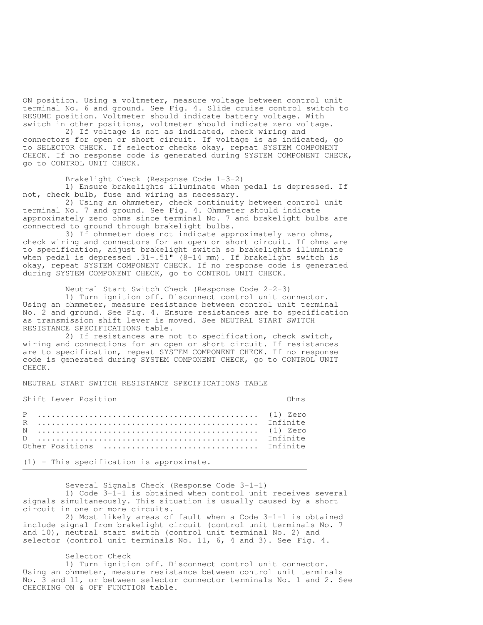ON position. Using a voltmeter, measure voltage between control unit terminal No. 6 and ground. See Fig. 4. Slide cruise control switch to RESUME position. Voltmeter should indicate battery voltage. With switch in other positions, voltmeter should indicate zero voltage.

 2) If voltage is not as indicated, check wiring and connectors for open or short circuit. If voltage is as indicated, go to SELECTOR CHECK. If selector checks okay, repeat SYSTEM COMPONENT CHECK. If no response code is generated during SYSTEM COMPONENT CHECK, go to CONTROL UNIT CHECK.

Brakelight Check (Response Code 1-3-2)

 1) Ensure brakelights illuminate when pedal is depressed. If not, check bulb, fuse and wiring as necessary.

 2) Using an ohmmeter, check continuity between control unit terminal No. 7 and ground. See Fig. 4. Ohmmeter should indicate approximately zero ohms since terminal No. 7 and brakelight bulbs are connected to ground through brakelight bulbs.

 3) If ohmmeter does not indicate approximately zero ohms, check wiring and connectors for an open or short circuit. If ohms are to specification, adjust brakelight switch so brakelights illuminate when pedal is depressed .31-.51" (8-14 mm). If brakelight switch is okay, repeat SYSTEM COMPONENT CHECK. If no response code is generated during SYSTEM COMPONENT CHECK, go to CONTROL UNIT CHECK.

Neutral Start Switch Check (Response Code 2-2-3)

 1) Turn ignition off. Disconnect control unit connector. Using an ohmmeter, measure resistance between control unit terminal No. 2 and ground. See Fig. 4. Ensure resistances are to specification as transmission shift lever is moved. See NEUTRAL START SWITCH RESISTANCE SPECIFICATIONS table.

 2) If resistances are not to specification, check switch, wiring and connections for an open or short circuit. If resistances are to specification, repeat SYSTEM COMPONENT CHECK. If no response code is generated during SYSTEM COMPONENT CHECK, go to CONTROL UNIT CHECK.

,我们就会不会不会。""我们,我们不会不会不会,我们不会不会不会,我们不会不会不会不会。""我们,我们不会不会不会不会。""我们,我们不会不会不会不会。""我们

NEUTRAL START SWITCH RESISTANCE SPECIFICATIONS TABLE

| Shift Lever Position<br><b>Example 2019</b> Superior Columns 2019 |  |
|-------------------------------------------------------------------|--|
|                                                                   |  |

(1) - This specification is approximate.

 Several Signals Check (Response Code 3-1-1) 1) Code 3-1-1 is obtained when control unit receives several signals simultaneously. This situation is usually caused by a short circuit in one or more circuits.

 2) Most likely areas of fault when a Code 3-1-1 is obtained include signal from brakelight circuit (control unit terminals No. 7 and 10), neutral start switch (control unit terminal No. 2) and selector (control unit terminals No. 11, 6, 4 and 3). See Fig. 4.

Selector Check

 1) Turn ignition off. Disconnect control unit connector. Using an ohmmeter, measure resistance between control unit terminals No. 3 and 11, or between selector connector terminals No. 1 and 2. See CHECKING ON & OFF FUNCTION table.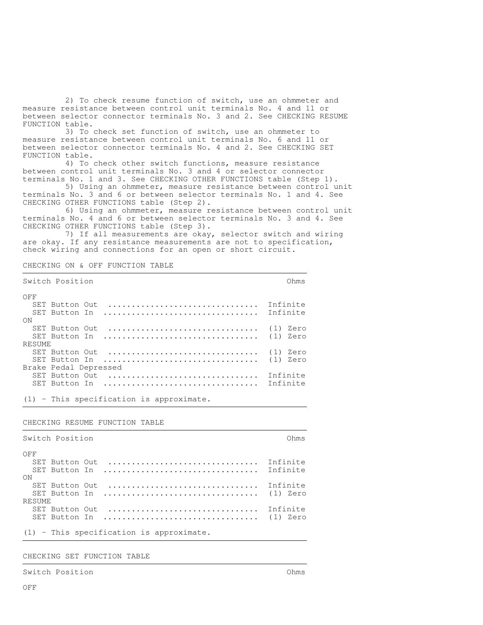2) To check resume function of switch, use an ohmmeter and measure resistance between control unit terminals No. 4 and 11 or between selector connector terminals No. 3 and 2. See CHECKING RESUME FUNCTION table.

 3) To check set function of switch, use an ohmmeter to measure resistance between control unit terminals No. 6 and 11 or between selector connector terminals No. 4 and 2. See CHECKING SET FUNCTION table.

 4) To check other switch functions, measure resistance between control unit terminals No. 3 and 4 or selector connector terminals No. 1 and 3. See CHECKING OTHER FUNCTIONS table (Step 1).

 5) Using an ohmmeter, measure resistance between control unit terminals No. 3 and 6 or between selector terminals No. 1 and 4. See CHECKING OTHER FUNCTIONS table (Step 2).

 6) Using an ohmmeter, measure resistance between control unit terminals No. 4 and 6 or between selector terminals No. 3 and 4. See CHECKING OTHER FUNCTIONS table (Step 3).

 7) If all measurements are okay, selector switch and wiring are okay. If any resistance measurements are not to specification, check wiring and connections for an open or short circuit.

CHECKING ON & OFF FUNCTION TABLE

| Switch Position       | OhmS        |
|-----------------------|-------------|
| OFF                   |             |
| SET Button Out        | Infinite    |
| SET Button In         | Infinite    |
| ON                    |             |
| SET Button Out        | Zero<br>(1) |
| SET Button In         | Zero<br>(1) |
| <b>RESUME</b>         |             |
| SET Button Out        | Zero<br>(1) |
| SET Button In         | (1)<br>Zero |
| Brake Pedal Depressed |             |
| SET Button Out        | Infinite    |
| SET Button In         | Tnfinite    |
|                       |             |

(1) - This specification is approximate.

#### CHECKING RESUME FUNCTION TABLE

| Switch Position<br>Ohms                    |          |  |
|--------------------------------------------|----------|--|
| OFF                                        |          |  |
| SET Button Out                             | Infinite |  |
| SET Button In  Infinite                    |          |  |
| ON                                         |          |  |
| SET Button Out                             | Infinite |  |
|                                            |          |  |
| <b>RESUME</b>                              |          |  |
| SET Button Out                             | Infinite |  |
|                                            |          |  |
|                                            |          |  |
| $(1)$ - This specification is approximate. |          |  |

CHECKING SET FUNCTION TABLE

Switch Position Ohms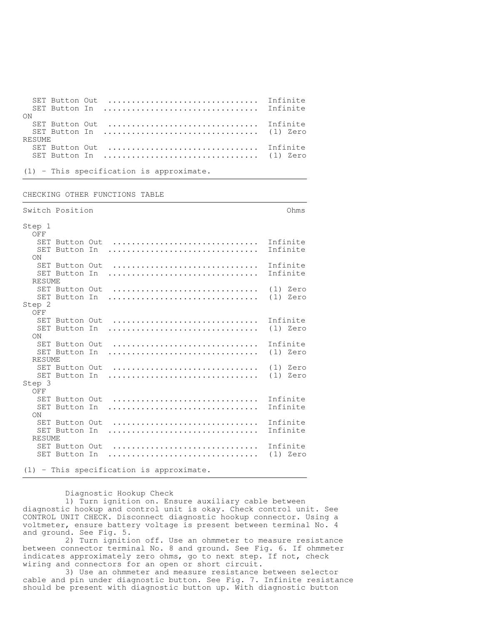|        | SET Button Out |                                            | Infinite |
|--------|----------------|--------------------------------------------|----------|
|        |                |                                            |          |
| - ON   |                |                                            |          |
|        | SET Button Out | Infinite                                   |          |
|        |                |                                            |          |
| RESUME |                |                                            |          |
|        | SET Button Out | Infinite                                   |          |
|        |                |                                            |          |
|        |                |                                            |          |
|        |                | $(1)$ - This specification is approximate. |          |

,我们就会不会不会。""我们,我们不会不会不会,我们不会不会不会,我们不会不会不会不会。""我们,我们不会不会不会不会。""我们,我们不会不会不会不会。""我们

CHECKING OTHER FUNCTIONS TABLE

|               | Switch Position |                                                                            | Ohms                 |
|---------------|-----------------|----------------------------------------------------------------------------|----------------------|
| Step 1        |                 |                                                                            |                      |
| OFF           |                 |                                                                            |                      |
|               |                 | SET Button Out  Infinite                                                   |                      |
|               | SET Button In   |                                                                            | Infinite             |
| ON            |                 |                                                                            |                      |
|               |                 | SET Button Out  Infinite                                                   |                      |
|               | SET Button In   |                                                                            | Infinite             |
| RESUME        |                 |                                                                            |                      |
|               |                 | SET Button Out                                                             | (1) Zero             |
|               | SET Button In   | (1) Zero                                                                   |                      |
| Step 2        |                 |                                                                            |                      |
| OFF           |                 |                                                                            |                      |
|               |                 | $SET$ Button Out $\ldots \ldots \ldots \ldots \ldots \ldots \ldots \ldots$ | Infinite             |
|               | SET Button In   |                                                                            | $(1)$ Zero           |
| ON            |                 |                                                                            |                      |
|               | SET Button Out  |                                                                            | Infinite             |
|               | SET Button In   |                                                                            | (1) Zero             |
| RESUME        |                 |                                                                            |                      |
|               |                 | SET Button Out  (1) Zero                                                   |                      |
|               | SET Button In   |                                                                            | $(1)$ Zero           |
| Step 3        |                 |                                                                            |                      |
| OFF           |                 |                                                                            | Infinite             |
|               |                 | SET Button Out                                                             |                      |
|               | SET Button In   |                                                                            | Infinite             |
| ON            |                 |                                                                            |                      |
|               | SET Button Out  |                                                                            | Infinite<br>Infinite |
|               | SET Button In   |                                                                            |                      |
| <b>RESUME</b> |                 |                                                                            |                      |
|               | SET Button Out  |                                                                            | Infinite             |
|               | SET Button In   |                                                                            | (1) Zero             |
|               |                 |                                                                            |                      |
|               |                 | $(1)$ - This specification is approximate.                                 |                      |

Diagnostic Hookup Check

 1) Turn ignition on. Ensure auxiliary cable between diagnostic hookup and control unit is okay. Check control unit. See CONTROL UNIT CHECK. Disconnect diagnostic hookup connector. Using a voltmeter, ensure battery voltage is present between terminal No. 4 and ground. See Fig. 5.

 2) Turn ignition off. Use an ohmmeter to measure resistance between connector terminal No. 8 and ground. See Fig. 6. If ohmmeter indicates approximately zero ohms, go to next step. If not, check wiring and connectors for an open or short circuit.

 3) Use an ohmmeter and measure resistance between selector cable and pin under diagnostic button. See Fig. 7. Infinite resistance should be present with diagnostic button up. With diagnostic button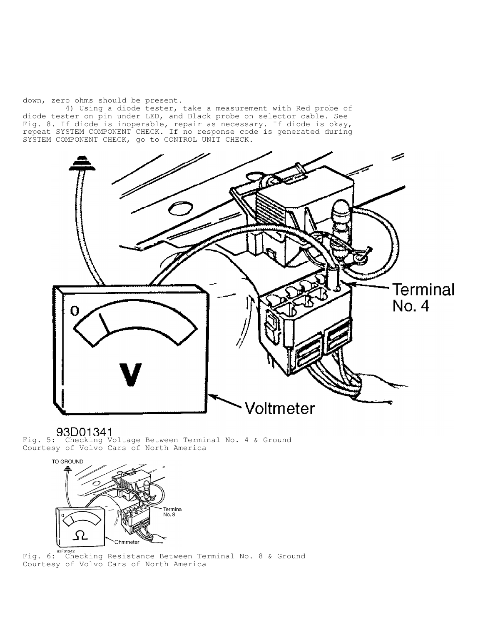down, zero ohms should be present.

 4) Using a diode tester, take a measurement with Red probe of diode tester on pin under LED, and Black probe on selector cable. See Fig. 8. If diode is inoperable, repair as necessary. If diode is okay, repeat SYSTEM COMPONENT CHECK. If no response code is generated during SYSTEM COMPONENT CHECK, go to CONTROL UNIT CHECK.



Fig. 5: Checking Voltage Between Terminal No. 4 & Ground Courtesy of Volvo Cars of North America



Fig. 6: Checking Resistance Between Terminal No. 8 & Ground Courtesy of Volvo Cars of North America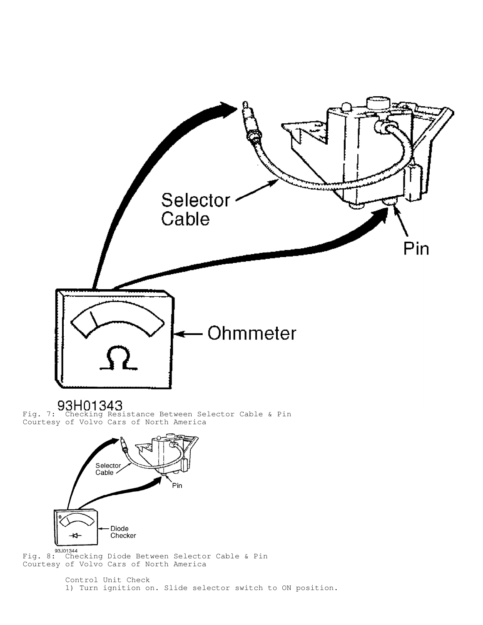

Fig. 7: Checking Resistance Between Selector Cable & Pin Courtesy of Volvo Cars of North America



Fig. 8: Checking Diode Between Selector Cable & Pin Courtesy of Volvo Cars of North America

> Control Unit Check 1) Turn ignition on. Slide selector switch to ON position.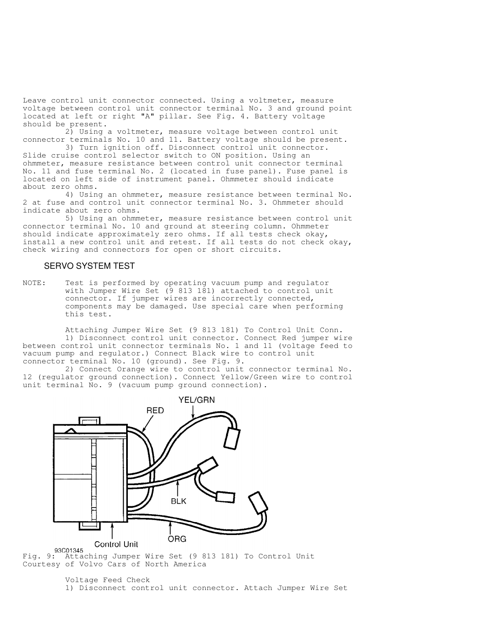Leave control unit connector connected. Using a voltmeter, measure voltage between control unit connector terminal No. 3 and ground point located at left or right "A" pillar. See Fig. 4. Battery voltage should be present.

 2) Using a voltmeter, measure voltage between control unit connector terminals No. 10 and 11. Battery voltage should be present.

 3) Turn ignition off. Disconnect control unit connector. Slide cruise control selector switch to ON position. Using an ohmmeter, measure resistance between control unit connector terminal No. 11 and fuse terminal No. 2 (located in fuse panel). Fuse panel is located on left side of instrument panel. Ohmmeter should indicate about zero ohms.

 4) Using an ohmmeter, measure resistance between terminal No. 2 at fuse and control unit connector terminal No. 3. Ohmmeter should indicate about zero ohms.

 5) Using an ohmmeter, measure resistance between control unit connector terminal No. 10 and ground at steering column. Ohmmeter should indicate approximately zero ohms. If all tests check okay, install a new control unit and retest. If all tests do not check okay, check wiring and connectors for open or short circuits.

### SERVO SYSTEM TEST

NOTE: Test is performed by operating vacuum pump and regulator with Jumper Wire Set (9 813 181) attached to control unit connector. If jumper wires are incorrectly connected, components may be damaged. Use special care when performing this test.

 Attaching Jumper Wire Set (9 813 181) To Control Unit Conn. 1) Disconnect control unit connector. Connect Red jumper wire between control unit connector terminals No. 1 and 11 (voltage feed to vacuum pump and regulator.) Connect Black wire to control unit connector terminal No. 10 (ground). See Fig. 9.

 2) Connect Orange wire to control unit connector terminal No. 12 (regulator ground connection). Connect Yellow/Green wire to control unit terminal No. 9 (vacuum pump ground connection).



Fig. 9: Attaching Jumper Wire Set (9 813 181) To Control Unit Courtesy of Volvo Cars of North America

Voltage Feed Check 1) Disconnect control unit connector. Attach Jumper Wire Set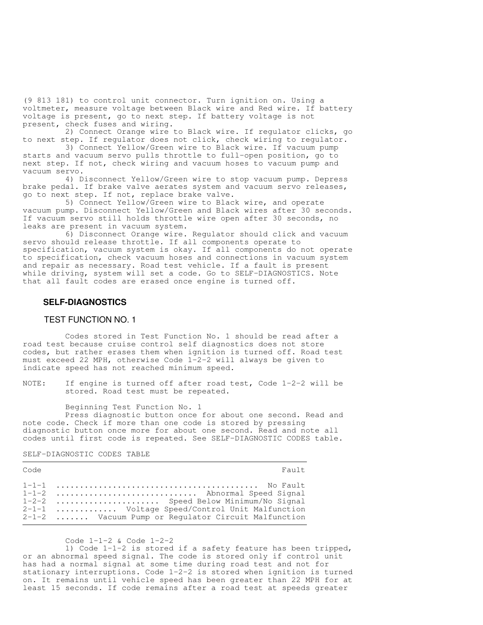(9 813 181) to control unit connector. Turn ignition on. Using a voltmeter, measure voltage between Black wire and Red wire. If battery voltage is present, go to next step. If battery voltage is not present, check fuses and wiring.

 2) Connect Orange wire to Black wire. If regulator clicks, go to next step. If regulator does not click, check wiring to regulator.

 3) Connect Yellow/Green wire to Black wire. If vacuum pump starts and vacuum servo pulls throttle to full-open position, go to next step. If not, check wiring and vacuum hoses to vacuum pump and vacuum servo.

 4) Disconnect Yellow/Green wire to stop vacuum pump. Depress brake pedal. If brake valve aerates system and vacuum servo releases, go to next step. If not, replace brake valve.

 5) Connect Yellow/Green wire to Black wire, and operate vacuum pump. Disconnect Yellow/Green and Black wires after 30 seconds. If vacuum servo still holds throttle wire open after 30 seconds, no leaks are present in vacuum system.

 6) Disconnect Orange wire. Regulator should click and vacuum servo should release throttle. If all components operate to specification, vacuum system is okay. If all components do not operate to specification, check vacuum hoses and connections in vacuum system and repair as necessary. Road test vehicle. If a fault is present while driving, system will set a code. Go to SELF-DIAGNOSTICS. Note that all fault codes are erased once engine is turned off.

### **SELF-DIAGNOSTICS**

### TEST FUNCTION NO. 1

 Codes stored in Test Function No. 1 should be read after a road test because cruise control self diagnostics does not store codes, but rather erases them when ignition is turned off. Road test must exceed 22 MPH, otherwise Code 1-2-2 will always be given to indicate speed has not reached minimum speed.

NOTE: If engine is turned off after road test, Code 1-2-2 will be stored. Road test must be repeated.

Beginning Test Function No. 1

Press diagnostic button once for about one second. Read and note code. Check if more than one code is stored by pressing diagnostic button once more for about one second. Read and note all codes until first code is repeated. See SELF-DIAGNOSTIC CODES table.

SELF-DIAGNOSTIC CODES TABLE

| Code | Fault                                                                                                                                                                        |
|------|------------------------------------------------------------------------------------------------------------------------------------------------------------------------------|
|      | 1-1-2  Abnormal Speed Signal<br>1-2-2  Speed Below Minimum/No Signal<br>2-1-1  Voltage Speed/Control Unit Malfunction<br>2-1-2  Vacuum Pump or Regulator Circuit Malfunction |

Code 1-1-2 & Code 1-2-2

 1) Code 1-1-2 is stored if a safety feature has been tripped, or an abnormal speed signal. The code is stored only if control unit has had a normal signal at some time during road test and not for stationary interruptions. Code 1-2-2 is stored when ignition is turned on. It remains until vehicle speed has been greater than 22 MPH for at least 15 seconds. If code remains after a road test at speeds greater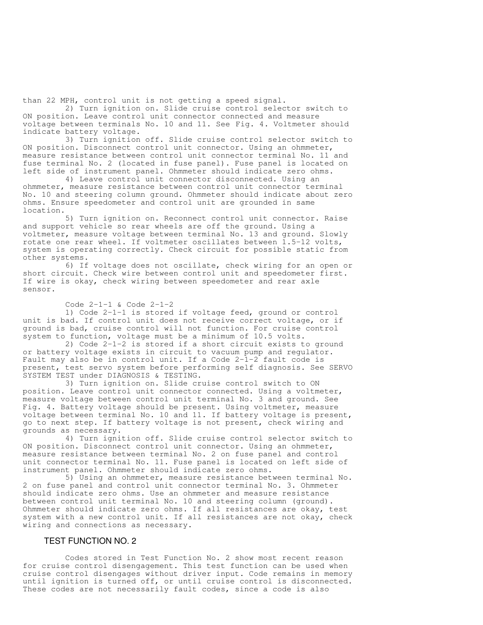than 22 MPH, control unit is not getting a speed signal.

 2) Turn ignition on. Slide cruise control selector switch to ON position. Leave control unit connector connected and measure voltage between terminals No. 10 and 11. See Fig. 4. Voltmeter should indicate battery voltage.

 3) Turn ignition off. Slide cruise control selector switch to ON position. Disconnect control unit connector. Using an ohmmeter, measure resistance between control unit connector terminal No. 11 and fuse terminal No. 2 (located in fuse panel). Fuse panel is located on left side of instrument panel. Ohmmeter should indicate zero ohms.

 4) Leave control unit connector disconnected. Using an ohmmeter, measure resistance between control unit connector terminal No. 10 and steering column ground. Ohmmeter should indicate about zero ohms. Ensure speedometer and control unit are grounded in same location.

 5) Turn ignition on. Reconnect control unit connector. Raise and support vehicle so rear wheels are off the ground. Using a voltmeter, measure voltage between terminal No. 13 and ground. Slowly rotate one rear wheel. If voltmeter oscillates between 1.5-12 volts, system is operating correctly. Check circuit for possible static from other systems.

 6) If voltage does not oscillate, check wiring for an open or short circuit. Check wire between control unit and speedometer first. If wire is okay, check wiring between speedometer and rear axle sensor.

#### Code 2-1-1 & Code 2-1-2

 1) Code 2-1-1 is stored if voltage feed, ground or control unit is bad. If control unit does not receive correct voltage, or if ground is bad, cruise control will not function. For cruise control system to function, voltage must be a minimum of 10.5 volts.

 2) Code 2-1-2 is stored if a short circuit exists to ground or battery voltage exists in circuit to vacuum pump and regulator. Fault may also be in control unit. If a Code 2-1-2 fault code is present, test servo system before performing self diagnosis. See SERVO SYSTEM TEST under DIAGNOSIS & TESTING.

 3) Turn ignition on. Slide cruise control switch to ON position. Leave control unit connector connected. Using a voltmeter, measure voltage between control unit terminal No. 3 and ground. See Fig. 4. Battery voltage should be present. Using voltmeter, measure voltage between terminal No. 10 and 11. If battery voltage is present, go to next step. If battery voltage is not present, check wiring and grounds as necessary.

 4) Turn ignition off. Slide cruise control selector switch to ON position. Disconnect control unit connector. Using an ohmmeter, measure resistance between terminal No. 2 on fuse panel and control unit connector terminal No. 11. Fuse panel is located on left side of instrument panel. Ohmmeter should indicate zero ohms.

 5) Using an ohmmeter, measure resistance between terminal No. 2 on fuse panel and control unit connector terminal No. 3. Ohmmeter should indicate zero ohms. Use an ohmmeter and measure resistance between control unit terminal No. 10 and steering column (ground). Ohmmeter should indicate zero ohms. If all resistances are okay, test system with a new control unit. If all resistances are not okay, check wiring and connections as necessary.

### TEST FUNCTION NO. 2

 Codes stored in Test Function No. 2 show most recent reason for cruise control disengagement. This test function can be used when cruise control disengages without driver input. Code remains in memory until ignition is turned off, or until cruise control is disconnected. These codes are not necessarily fault codes, since a code is also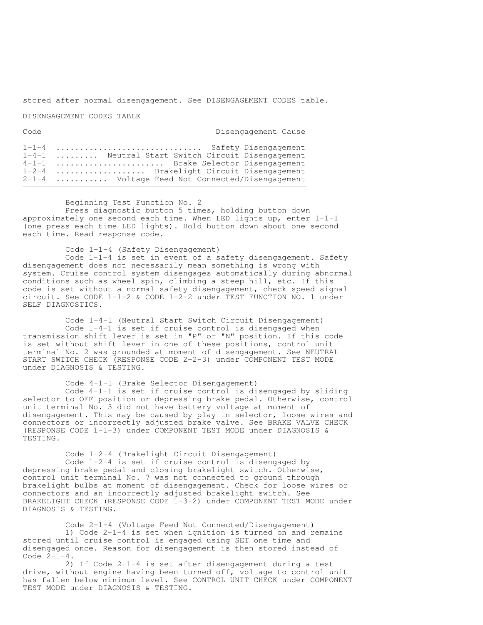stored after normal disengagement. See DISENGAGEMENT CODES table.

,我们就会不会不会。""我们,我们不会不会不会,我们不会不会不会,我们不会不会不会不会。""我们,我们不会不会不会不会。""我们,我们不会不会不会不会。""我们

DISENGAGEMENT CODES TABLE

| Code | Disengagement Cause                                                                                                                                                                                                    |
|------|------------------------------------------------------------------------------------------------------------------------------------------------------------------------------------------------------------------------|
|      | 1-1-4  Safety Disengagement<br>1-4-1  Neutral Start Switch Circuit Disengagement<br>4-1-1  Brake Selector Disengagement<br>1-2-4  Brakelight Circuit Disengagement<br>$2-1-4$ Voltage Feed Not Connected/Disengagement |

Beginning Test Function No. 2

 Press diagnostic button 5 times, holding button down approximately one second each time. When LED lights up, enter  $1-1-1$ (one press each time LED lights). Hold button down about one second each time. Read response code.

 Code 1-1-4 (Safety Disengagement) Code 1-1-4 is set in event of a safety disengagement. Safety disengagement does not necessarily mean something is wrong with system. Cruise control system disengages automatically during abnormal conditions such as wheel spin, climbing a steep hill, etc. If this code is set without a normal safety disengagement, check speed signal circuit. See CODE 1-1-2 & CODE 1-2-2 under TEST FUNCTION NO. 1 under SELF DIAGNOSTICS.

 Code 1-4-1 (Neutral Start Switch Circuit Disengagement) Code 1-4-1 is set if cruise control is disengaged when transmission shift lever is set in "P" or "N" position. If this code is set without shift lever in one of these positions, control unit terminal No. 2 was grounded at moment of disengagement. See NEUTRAL START SWITCH CHECK (RESPONSE CODE 2-2-3) under COMPONENT TEST MODE under DIAGNOSIS & TESTING.

 Code 4-1-1 (Brake Selector Disengagement) Code 4-1-1 is set if cruise control is disengaged by sliding selector to OFF position or depressing brake pedal. Otherwise, control unit terminal No. 3 did not have battery voltage at moment of disengagement. This may be caused by play in selector, loose wires and connectors or incorrectly adjusted brake valve. See BRAKE VALVE CHECK (RESPONSE CODE 1-1-3) under COMPONENT TEST MODE under DIAGNOSIS & TESTING.

 Code 1-2-4 (Brakelight Circuit Disengagement) Code 1-2-4 is set if cruise control is disengaged by depressing brake pedal and closing brakelight switch. Otherwise, control unit terminal No. 7 was not connected to ground through brakelight bulbs at moment of disengagement. Check for loose wires or connectors and an incorrectly adjusted brakelight switch. See BRAKELIGHT CHECK (RESPONSE CODE 1-3-2) under COMPONENT TEST MODE under DIAGNOSIS & TESTING.

 Code 2-1-4 (Voltage Feed Not Connected/Disengagement) 1) Code 2-1-4 is set when ignition is turned on and remains stored until cruise control is engaged using SET one time and disengaged once. Reason for disengagement is then stored instead of Code  $2-\overline{1}-4$ .

 2) If Code 2-1-4 is set after disengagement during a test drive, without engine having been turned off, voltage to control unit has fallen below minimum level. See CONTROL UNIT CHECK under COMPONENT TEST MODE under DIAGNOSIS & TESTING.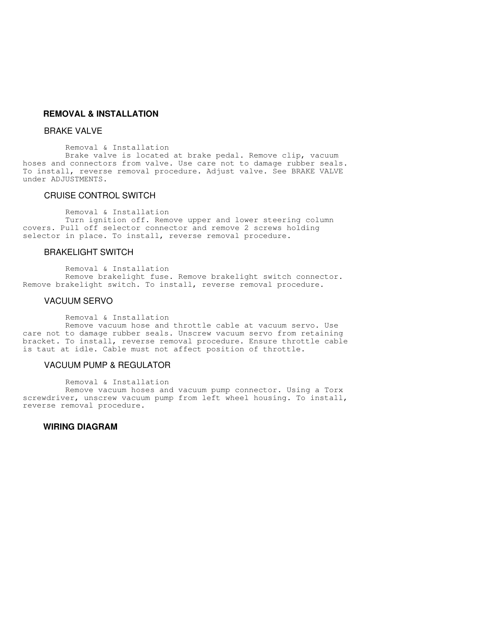# **REMOVAL & INSTALLATION**

# BRAKE VALVE

Removal & Installation

 Brake valve is located at brake pedal. Remove clip, vacuum hoses and connectors from valve. Use care not to damage rubber seals. To install, reverse removal procedure. Adjust valve. See BRAKE VALVE under ADJUSTMENTS.

# CRUISE CONTROL SWITCH

Removal & Installation

 Turn ignition off. Remove upper and lower steering column covers. Pull off selector connector and remove 2 screws holding selector in place. To install, reverse removal procedure.

# BRAKELIGHT SWITCH

Removal & Installation

 Remove brakelight fuse. Remove brakelight switch connector. Remove brakelight switch. To install, reverse removal procedure.

### VACUUM SERVO

Removal & Installation

 Remove vacuum hose and throttle cable at vacuum servo. Use care not to damage rubber seals. Unscrew vacuum servo from retaining bracket. To install, reverse removal procedure. Ensure throttle cable is taut at idle. Cable must not affect position of throttle.

# VACUUM PUMP & REGULATOR

Removal & Installation

 Remove vacuum hoses and vacuum pump connector. Using a Torx screwdriver, unscrew vacuum pump from left wheel housing. To install, reverse removal procedure.

# **WIRING DIAGRAM**